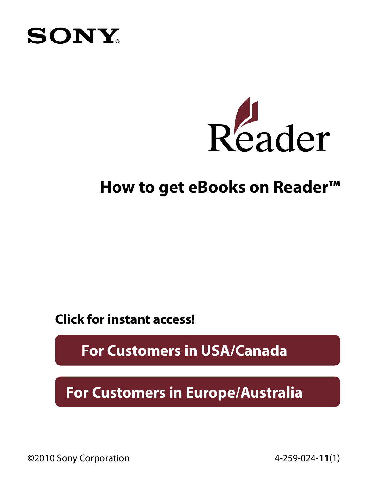



#### **How to get eBooks on Reader™**

**Click for instant access!**

**[For Customers in USA/Canada](#page-1-0)**

**[For Customers in Europe/Australia](#page-10-0)**

©2010 Sony Corporation 4-259-024-**11**(1)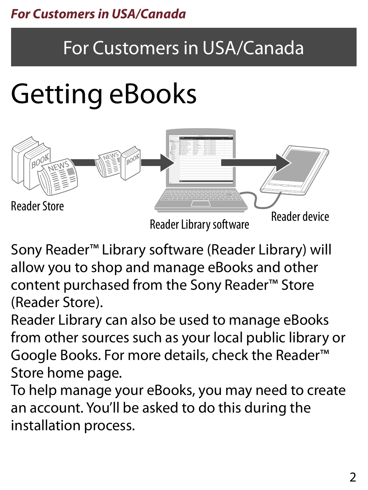#### <span id="page-1-0"></span>*For Customers in USA/Canada*

### For Customers in USA/Canada

## Getting eBooks



Sony Reader™ Library software (Reader Library) will allow you to shop and manage eBooks and other content purchased from the Sony Reader™ Store (Reader Store).

Reader Library can also be used to manage eBooks from other sources such as your local public library or Google Books. For more details, check the Reader™ Store home page.

To help manage your eBooks, you may need to create an account. You'll be asked to do this during the installation process.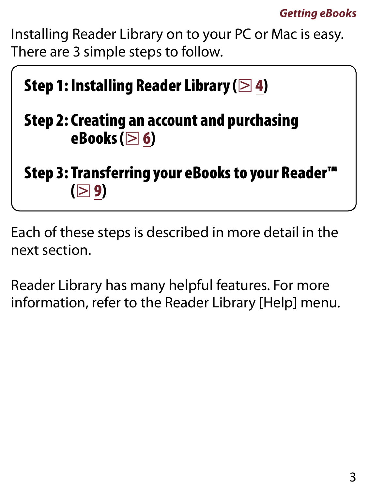Installing Reader Library on to your PC or Mac is easy. There are 3 simple steps to follow.



Each of these steps is described in more detail in the next section.

Reader Library has many helpful features. For more information, refer to the Reader Library [Help] menu.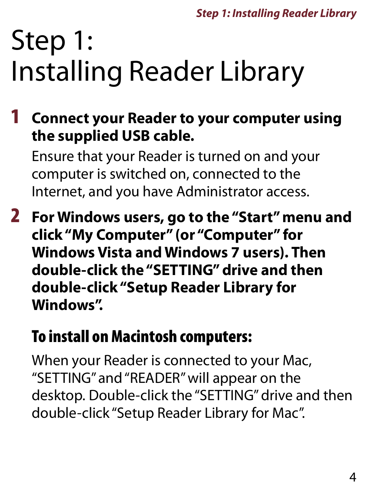## <span id="page-3-0"></span>Step 1: Installing Reader Library

1 **Connect your Reader to your computer using the supplied USB cable.**

Ensure that your Reader is turned on and your computer is switched on, connected to the Internet, and you have Administrator access.

2 **For Windows users, go to the "Start" menu and click "My Computer" (or "Computer" for Windows Vista and Windows 7 users). Then double-click the "SETTING" drive and then double-click "Setup Reader Library for Windows".**

### To install on Macintosh computers:

When your Reader is connected to your Mac, "SETTING" and "READER" will appear on the desktop. Double-click the "SETTING" drive and then double-click "Setup Reader Library for Mac".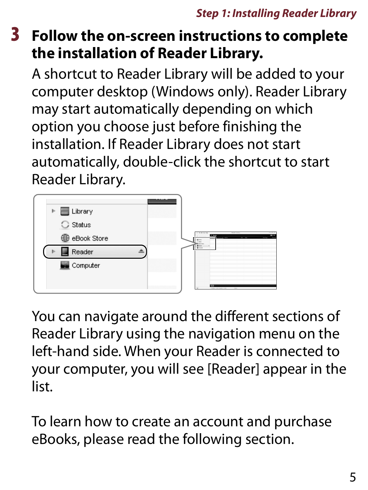#### 3 **Follow the on-screen instructions to complete the installation of Reader Library.**

A shortcut to Reader Library will be added to your computer desktop (Windows only). Reader Library may start automatically depending on which option you choose just before finishing the installation. If Reader Library does not start automatically, double-click the shortcut to start Reader Library.



You can navigate around the different sections of Reader Library using the navigation menu on the left-hand side. When your Reader is connected to your computer, you will see [Reader] appear in the list.

To learn how to create an account and purchase eBooks, please read the following section.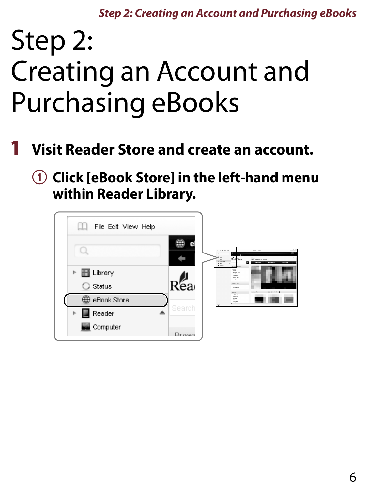*Step 2: Creating an Account and Purchasing eBooks*

### <span id="page-5-0"></span>Step 2: Creating an Account and Purchasing eBooks

- 1 **Visit Reader Store and create an account.**
	- **Click [eBook Store] in the left-hand menu within Reader Library.**

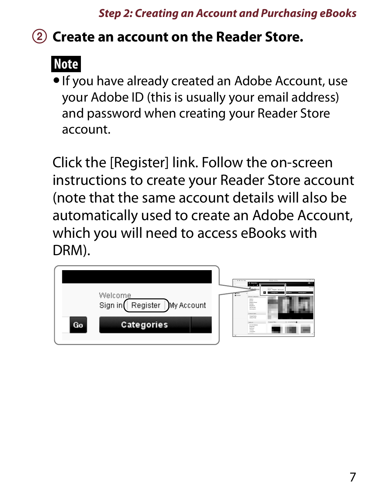#### *Step 2: Creating an Account and Purchasing eBooks*

#### **Create an account on the Reader Store.**

### **Note**

 If you have already created an Adobe Account, use your Adobe ID (this is usually your email address) and password when creating your Reader Store account.

Click the [Register] link. Follow the on-screen instructions to create your Reader Store account (note that the same account details will also be automatically used to create an Adobe Account, which you will need to access eBooks with DRM).

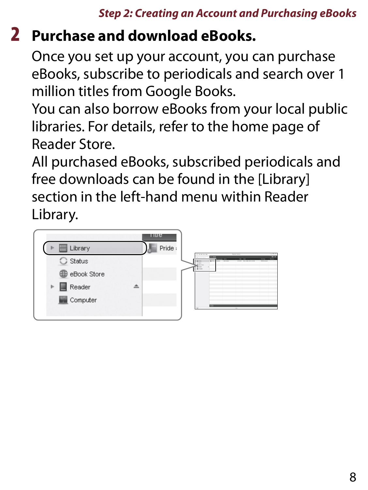### 2 **Purchase and download eBooks.**

Once you set up your account, you can purchase eBooks, subscribe to periodicals and search over 1 million titles from Google Books.

You can also borrow eBooks from your local public libraries. For details, refer to the home page of Reader Store.

All purchased eBooks, subscribed periodicals and free downloads can be found in the [Library] section in the left-hand menu within Reader Library.

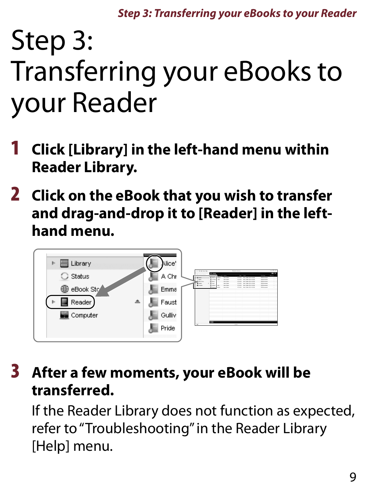*Step 3: Transferring your eBooks to your Reader*

### <span id="page-8-0"></span>Step 3: Transferring your eBooks to your Reader

- 1 **Click [Library] in the left-hand menu within Reader Library.**
- 2 **Click on the eBook that you wish to transfer and drag-and-drop it to [Reader] in the lefthand menu.**



#### 3 **After a few moments, your eBook will be transferred.**

If the Reader Library does not function as expected, refer to "Troubleshooting" in the Reader Library [Help] menu.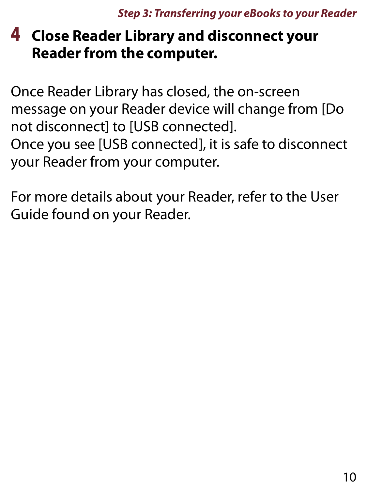#### 4 **Close Reader Library and disconnect your Reader from the computer.**

Once Reader Library has closed, the on-screen message on your Reader device will change from [Do not disconnect] to [USB connected]. Once you see [USB connected], it is safe to disconnect your Reader from your computer.

For more details about your Reader, refer to the User Guide found on your Reader.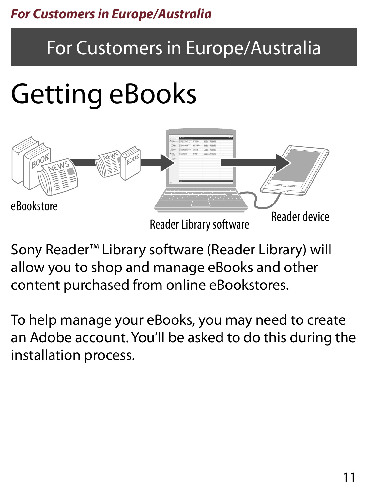### <span id="page-10-0"></span>For Customers in Europe/Australia

## Getting eBooks



Sony Reader™ Library software (Reader Library) will allow you to shop and manage eBooks and other content purchased from online eBookstores.

To help manage your eBooks, you may need to create an Adobe account. You'll be asked to do this during the installation process.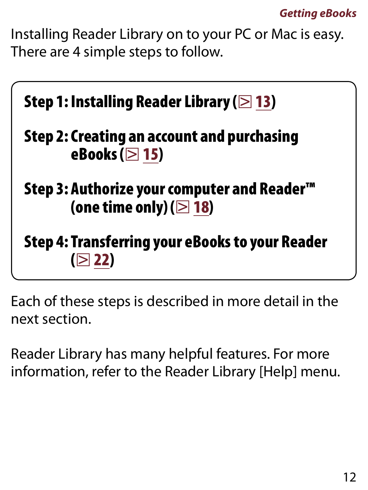Installing Reader Library on to your PC or Mac is easy. There are 4 simple steps to follow.



Each of these steps is described in more detail in the next section.

Reader Library has many helpful features. For more information, refer to the Reader Library [Help] menu.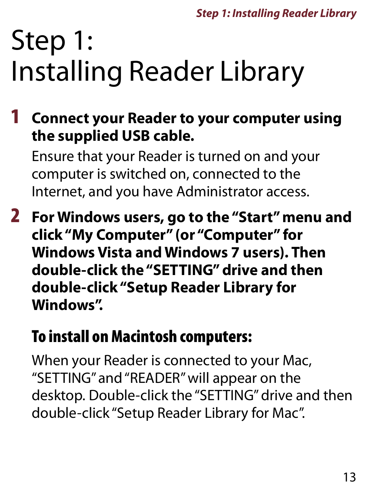## <span id="page-12-0"></span>Step 1: Installing Reader Library

1 **Connect your Reader to your computer using the supplied USB cable.**

Ensure that your Reader is turned on and your computer is switched on, connected to the Internet, and you have Administrator access.

2 **For Windows users, go to the "Start" menu and click "My Computer" (or "Computer" for Windows Vista and Windows 7 users). Then double-click the "SETTING" drive and then double-click "Setup Reader Library for Windows".**

### To install on Macintosh computers:

When your Reader is connected to your Mac, "SETTING" and "READER" will appear on the desktop. Double-click the "SETTING" drive and then double-click "Setup Reader Library for Mac".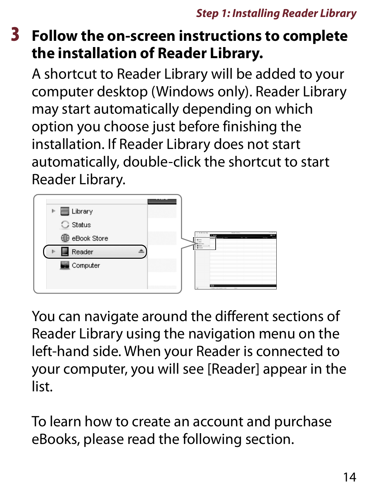#### 3 **Follow the on-screen instructions to complete the installation of Reader Library.**

A shortcut to Reader Library will be added to your computer desktop (Windows only). Reader Library may start automatically depending on which option you choose just before finishing the installation. If Reader Library does not start automatically, double-click the shortcut to start Reader Library.



You can navigate around the different sections of Reader Library using the navigation menu on the left-hand side. When your Reader is connected to your computer, you will see [Reader] appear in the list.

To learn how to create an account and purchase eBooks, please read the following section.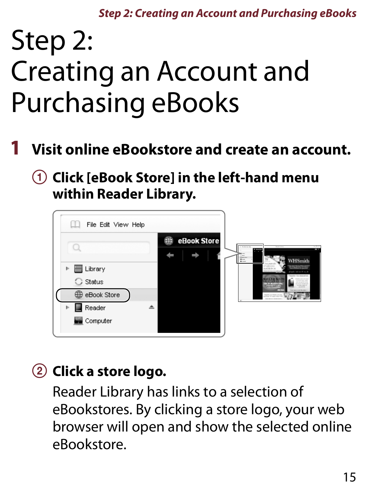*Step 2: Creating an Account and Purchasing eBooks*

## <span id="page-14-0"></span>Step 2: Creating an Account and Purchasing eBooks

- 1 **Visit online eBookstore and create an account.**
	- **Click [eBook Store] in the left-hand menu within Reader Library.**



#### **Click a store logo.**

Reader Library has links to a selection of eBookstores. By clicking a store logo, your web browser will open and show the selected online eBookstore.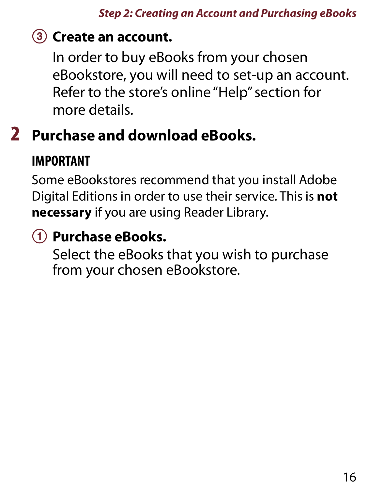#### **Create an account.**

In order to buy eBooks from your chosen eBookstore, you will need to set-up an account. Refer to the store's online "Help" section for more details.

### 2 **Purchase and download eBooks.**

#### **IMPORTANT**

Some eBookstores recommend that you install Adobe Digital Editions in order to use their service. This is **not necessary** if you are using Reader Library.

### **Purchase eBooks.**

Select the eBooks that you wish to purchase from your chosen eBookstore.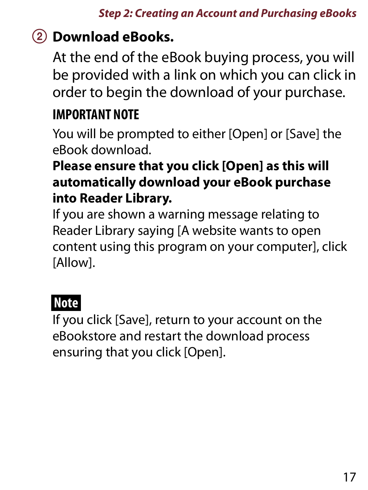#### **Download eBooks.**

At the end of the eBook buying process, you will be provided with a link on which you can click in order to begin the download of your purchase.

#### **IMPORTANT NOTE**

You will be prompted to either [Open] or [Save] the eBook download.

#### **Please ensure that you click [Open] as this will automatically download your eBook purchase into Reader Library.**

If you are shown a warning message relating to Reader Library saying [A website wants to open content using this program on your computer], click [Allow].

#### **Note**

If you click [Save], return to your account on the eBookstore and restart the download process ensuring that you click [Open].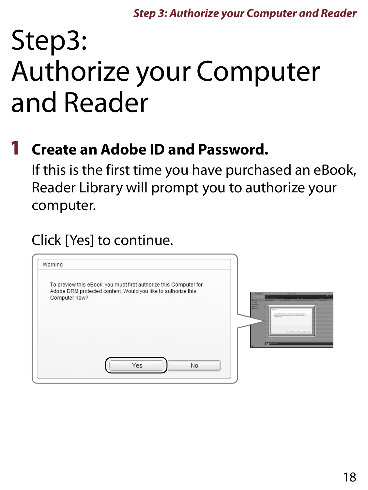## <span id="page-17-0"></span>Step3: Authorize your Computer and Reader

#### 1 **Create an Adobe ID and Password.**

If this is the first time you have purchased an eBook, Reader Library will prompt you to authorize your computer.

#### Click [Yes] to continue.

| Warning                                                                                                                                             |                                                                                                                                                                                                                                                                                                                |
|-----------------------------------------------------------------------------------------------------------------------------------------------------|----------------------------------------------------------------------------------------------------------------------------------------------------------------------------------------------------------------------------------------------------------------------------------------------------------------|
| To preview this eBook, you must first authorize this Computer for<br>Adobe DRM protected content. Would you like to authorize this<br>Computer now? | <b><i><u><b>Depute Lines</b></u></i></b><br><b>THE RIVE PARK WAY</b><br><b>IT LEAN</b><br>$90 - 20$<br><b>PRINTER</b><br><b>Silling</b><br>MAIN - NAME OF GROOM<br><b>Citizen</b><br><b>Q</b> distant<br><b>Black</b><br><b>III</b> Drawn<br>and marketing countries about a country<br><b>Company of priv</b> |
| Yes<br><b>No</b>                                                                                                                                    | <b>D</b> United                                                                                                                                                                                                                                                                                                |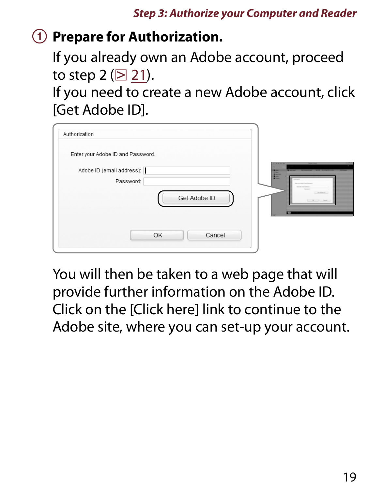#### **Prepare for Authorization.**

If you already own an Adobe account, proceed to step 2 ( $\boxtimes$  [21\).](#page-20-0)

If you need to create a new Adobe account, click [Get Adobe ID].

| Authorization                          |                                                              |
|----------------------------------------|--------------------------------------------------------------|
| Enter your Adobe ID and Password.      |                                                              |
| Adobe ID (email address):<br>Password: | <b>Service</b><br>$-0.00000$<br>-<br>-<br>m<br>to area to be |
| Get Adobe ID                           | <b>STATISTICS</b><br><b>Service</b><br>The new of the<br>⊏   |
| Cancel<br>OK                           |                                                              |

You will then be taken to a web page that will provide further information on the Adobe ID. Click on the [Click here] link to continue to the Adobe site, where you can set-up your account.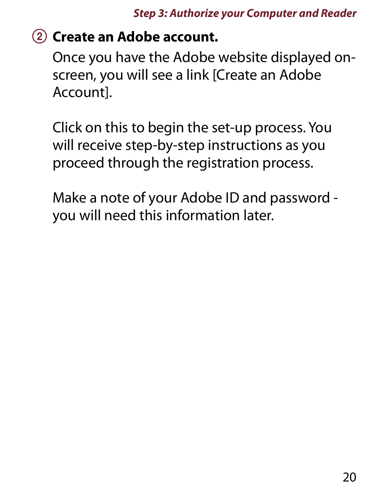#### **Create an Adobe account.**

Once you have the Adobe website displayed onscreen, you will see a link [Create an Adobe Account].

Click on this to begin the set-up process. You will receive step-by-step instructions as you proceed through the registration process.

Make a note of your Adobe ID and password you will need this information later.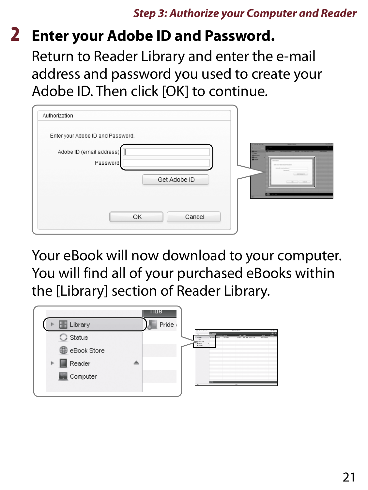#### <span id="page-20-0"></span>2 **Enter your Adobe ID and Password.**

Return to Reader Library and enter the e-mail address and password you used to create your Adobe ID. Then click [OK] to continue.

| Authorization                                        |                                                                    |
|------------------------------------------------------|--------------------------------------------------------------------|
| Enter your Adobe ID and Password.                    |                                                                    |
| Adobe ID (email address)<br>Password<br>Get Adobe ID | ---<br>E<br><b>CONTRACTOR</b><br><b>Service</b><br>Contact in<br>面 |
| Cancel<br>OK                                         |                                                                    |

Your eBook will now download to your computer. You will find all of your purchased eBooks within the [Library] section of Reader Library.

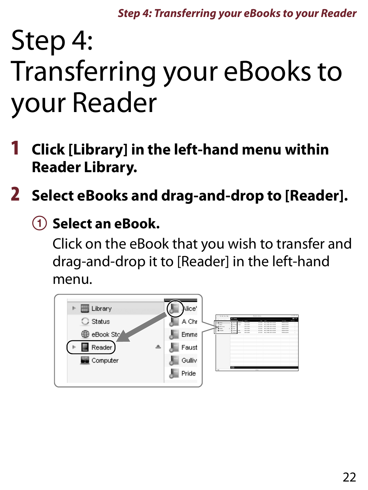*Step 4: Transferring your eBooks to your Reader*

### <span id="page-21-0"></span>Step 4: Transferring your eBooks to your Reader

- 1 **Click [Library] in the left-hand menu within Reader Library.**
- 2 **Select eBooks and drag-and-drop to [Reader].**
	- **Select an eBook.**

Click on the eBook that you wish to transfer and drag-and-drop it to [Reader] in the left-hand menu.

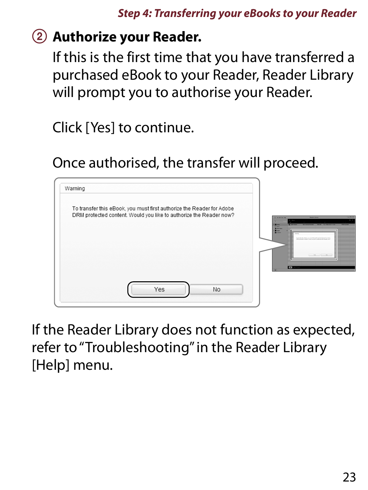#### **Authorize your Reader.**

If this is the first time that you have transferred a purchased eBook to your Reader, Reader Library will prompt you to authorise your Reader.

Click [Yes] to continue.

Once authorised, the transfer will proceed.



If the Reader Library does not function as expected, refer to "Troubleshooting" in the Reader Library [Help] menu.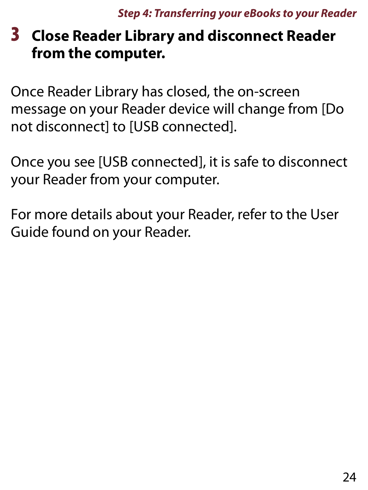#### 3 **Close Reader Library and disconnect Reader from the computer.**

Once Reader Library has closed, the on-screen message on your Reader device will change from [Do not disconnect] to [USB connected].

Once you see [USB connected], it is safe to disconnect your Reader from your computer.

For more details about your Reader, refer to the User Guide found on your Reader.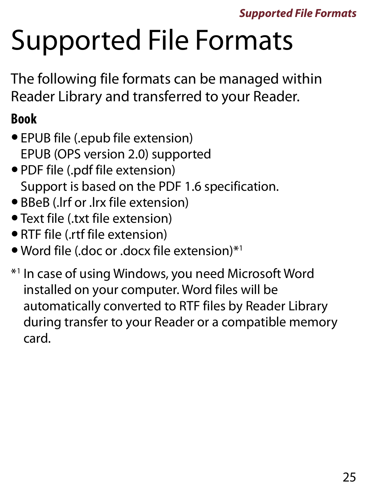# Supported File Formats

The following file formats can be managed within Reader Library and transferred to your Reader.

#### **Book**

- EPUB file (.epub file extension) EPUB (OPS version 2.0) supported
- PDF file (.pdf file extension) Support is based on the PDF 1.6 specification.
- BBeB (.lrf or .lrx file extension)
- Text file (.txt file extension)
- RTF file (.rtf file extension)
- Word file (.doc or .docx file extension)\*1
- \*1 In case of using Windows, you need Microsoft Word installed on your computer. Word files will be automatically converted to RTF files by Reader Library during transfer to your Reader or a compatible memory card.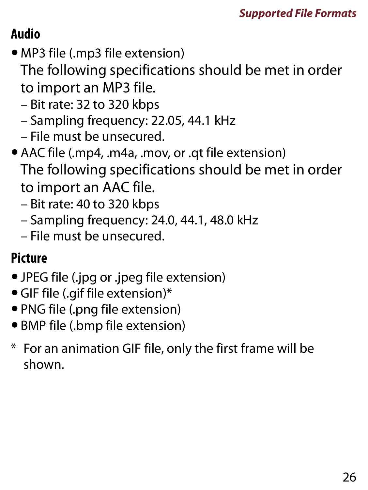### **Audio**

- MP3 file (.mp3 file extension)
	- The following specifications should be met in order to import an MP3 file.
	- Bit rate: 32 to 320 kbps
	- Sampling frequency: 22.05, 44.1 kHz
	- File must be unsecured.
- AAC file (.mp4, .m4a, .mov, or .qt file extension) The following specifications should be met in order to import an AAC file.
	- Bit rate: 40 to 320 kbps
	- Sampling frequency: 24.0, 44.1, 48.0 kHz
	- File must be unsecured.

#### **Picture**

- JPEG file (.jpg or .jpeg file extension)
- GIF file (.gif file extension)\*
- PNG file (.png file extension)
- BMP file (.bmp file extension)
- \* For an animation GIF file, only the first frame will be shown.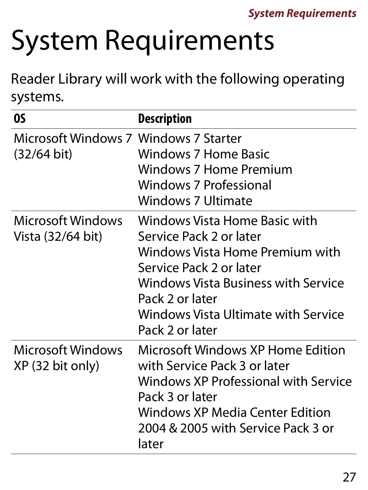# System Requirements

Reader Library will work with the following operating systems.

| OS                                                   | <b>Description</b>                                                                                                                                                                                                                         |
|------------------------------------------------------|--------------------------------------------------------------------------------------------------------------------------------------------------------------------------------------------------------------------------------------------|
| Microsoft Windows 7 Windows 7 Starter<br>(32/64 bit) | Windows 7 Home Basic<br>Windows 7 Home Premium<br><b>Windows 7 Professional</b><br><b>Windows 7 Ultimate</b>                                                                                                                               |
| Microsoft Windows<br>Vista (32/64 bit)               | Windows Vista Home Basic with<br>Service Pack 2 or later<br>Windows Vista Home Premium with<br>Service Pack 2 or later<br>Windows Vista Business with Service<br>Pack 2 or later<br>Windows Vista Ultimate with Service<br>Pack 2 or later |
| Microsoft Windows<br>XP (32 bit only)                | <b>Microsoft Windows XP Home Edition</b><br>with Service Pack 3 or later<br>Windows XP Professional with Service<br>Pack 3 or later<br><b>Windows XP Media Center Edition</b><br>2004 & 2005 with Service Pack 3 or<br>later               |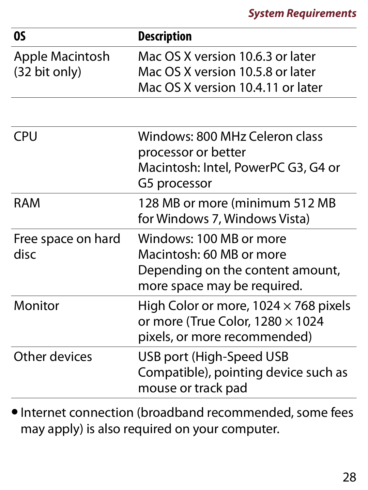| <b>OS</b>                                  | <b>Description</b>                                                                                                      |
|--------------------------------------------|-------------------------------------------------------------------------------------------------------------------------|
| Apple Macintosh<br>$(32 \text{ bit only})$ | Mac OS X version 10.6.3 or later<br>Mac OS X version 10.5.8 or later<br>Mac OS X version 10.4.11 or later               |
| <b>CPU</b>                                 | Windows: 800 MHz Celeron class<br>processor or better<br>Macintosh: Intel, PowerPC G3, G4 or<br>G5 processor            |
| <b>RAM</b>                                 | 128 MB or more (minimum 512 MB<br>for Windows 7, Windows Vista)                                                         |
| Free space on hard<br>disc                 | Windows: 100 MB or more<br>Macintosh: 60 MB or more<br>Depending on the content amount,<br>more space may be required.  |
| Monitor                                    | High Color or more, $1024 \times 768$ pixels<br>or more (True Color, $1280 \times 1024$<br>pixels, or more recommended) |
| Other devices                              | USB port (High-Speed USB<br>Compatible), pointing device such as<br>mouse or track pad                                  |

 $\bullet$  Internet connection (broadband recommended, some fees may apply) is also required on your computer.